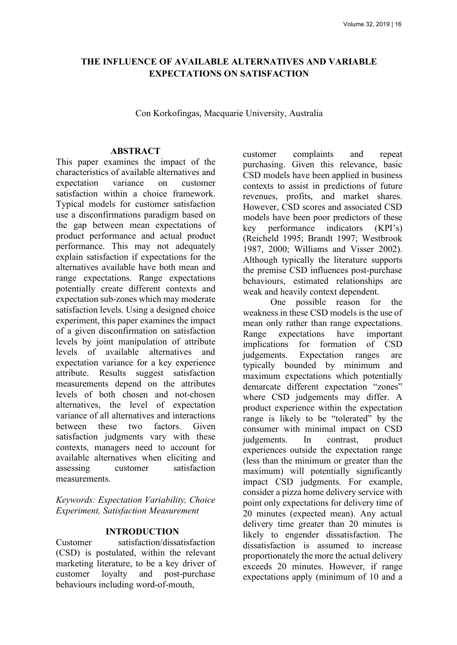# **THE INFLUENCE OF AVAILABLE ALTERNATIVES AND VARIABLE EXPECTATIONS ON SATISFACTION**

Con Korkofingas, Macquarie University, Australia

#### **ABSTRACT**

This paper examines the impact of the characteristics of available alternatives and expectation variance on customer satisfaction within a choice framework. Typical models for customer satisfaction use a disconfirmations paradigm based on the gap between mean expectations of product performance and actual product performance. This may not adequately explain satisfaction if expectations for the alternatives available have both mean and range expectations. Range expectations potentially create different contexts and expectation sub-zones which may moderate satisfaction levels. Using a designed choice experiment, this paper examines the impact of a given disconfirmation on satisfaction levels by joint manipulation of attribute levels of available alternatives and expectation variance for a key experience attribute. Results suggest satisfaction measurements depend on the attributes levels of both chosen and not-chosen alternatives, the level of expectation variance of all alternatives and interactions between these two factors. Given satisfaction judgments vary with these contexts, managers need to account for available alternatives when eliciting and assessing customer satisfaction measurements.

*Keywords: Expectation Variability, Choice Experiment, Satisfaction Measurement* 

## **INTRODUCTION**

Customer satisfaction/dissatisfaction (CSD) is postulated, within the relevant marketing literature, to be a key driver of customer loyalty and post-purchase behaviours including word-of-mouth,

customer complaints and repeat purchasing. Given this relevance, basic CSD models have been applied in business contexts to assist in predictions of future revenues, profits, and market shares. However, CSD scores and associated CSD models have been poor predictors of these key performance indicators (KPI's) (Reicheld 1995; Brandt 1997; Westbrook 1987, 2000; Williams and Visser 2002). Although typically the literature supports the premise CSD influences post-purchase behaviours, estimated relationships are weak and heavily context dependent.

One possible reason for the weakness in these CSD models is the use of mean only rather than range expectations. Range expectations have important implications for formation of CSD judgements. Expectation ranges are typically bounded by minimum and maximum expectations which potentially demarcate different expectation "zones" where CSD judgements may differ. A product experience within the expectation range is likely to be "tolerated" by the consumer with minimal impact on CSD judgements. In contrast, product experiences outside the expectation range (less than the minimum or greater than the maximum) will potentially significantly impact CSD judgments. For example, consider a pizza home delivery service with point only expectations for delivery time of 20 minutes (expected mean). Any actual delivery time greater than 20 minutes is likely to engender dissatisfaction. The dissatisfaction is assumed to increase proportionately the more the actual delivery exceeds 20 minutes. However, if range expectations apply (minimum of 10 and a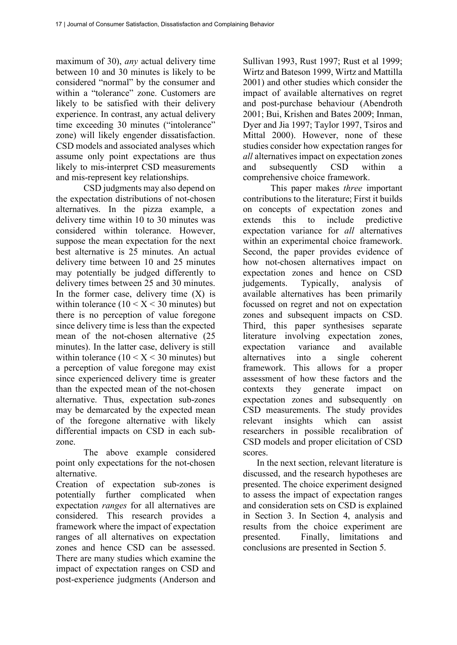maximum of 30), *any* actual delivery time between 10 and 30 minutes is likely to be considered "normal" by the consumer and within a "tolerance" zone. Customers are likely to be satisfied with their delivery experience. In contrast, any actual delivery time exceeding 30 minutes ("intolerance" zone) will likely engender dissatisfaction. CSD models and associated analyses which assume only point expectations are thus likely to mis-interpret CSD measurements and mis-represent key relationships.

CSD judgments may also depend on the expectation distributions of not-chosen alternatives. In the pizza example, a delivery time within 10 to 30 minutes was considered within tolerance. However, suppose the mean expectation for the next best alternative is 25 minutes. An actual delivery time between 10 and 25 minutes may potentially be judged differently to delivery times between 25 and 30 minutes. In the former case, delivery time  $(X)$  is within tolerance  $(10 < X < 30$  minutes) but there is no perception of value foregone since delivery time is less than the expected mean of the not-chosen alternative (25 minutes). In the latter case, delivery is still within tolerance  $(10 < X < 30$  minutes) but a perception of value foregone may exist since experienced delivery time is greater than the expected mean of the not-chosen alternative. Thus, expectation sub-zones may be demarcated by the expected mean of the foregone alternative with likely differential impacts on CSD in each subzone.

The above example considered point only expectations for the not-chosen alternative.

Creation of expectation sub-zones is potentially further complicated when expectation *ranges* for all alternatives are considered. This research provides a framework where the impact of expectation ranges of all alternatives on expectation zones and hence CSD can be assessed. There are many studies which examine the impact of expectation ranges on CSD and post-experience judgments (Anderson and

Sullivan 1993, Rust 1997; Rust et al 1999; Wirtz and Bateson 1999, Wirtz and Mattilla 2001) and other studies which consider the impact of available alternatives on regret and post-purchase behaviour (Abendroth 2001; Bui, Krishen and Bates 2009; Inman, Dyer and Jia 1997; Taylor 1997, Tsiros and Mittal 2000). However, none of these studies consider how expectation ranges for *all* alternatives impact on expectation zones and subsequently CSD within a comprehensive choice framework.

This paper makes *three* important contributions to the literature; First it builds on concepts of expectation zones and extends this to include predictive expectation variance for *all* alternatives within an experimental choice framework. Second, the paper provides evidence of how not-chosen alternatives impact on expectation zones and hence on CSD judgements. Typically, analysis of available alternatives has been primarily focussed on regret and not on expectation zones and subsequent impacts on CSD. Third, this paper synthesises separate literature involving expectation zones, expectation variance and available alternatives into a single coherent framework. This allows for a proper assessment of how these factors and the contexts they generate impact on expectation zones and subsequently on CSD measurements. The study provides relevant insights which can assist researchers in possible recalibration of CSD models and proper elicitation of CSD scores.

In the next section, relevant literature is discussed, and the research hypotheses are presented. The choice experiment designed to assess the impact of expectation ranges and consideration sets on CSD is explained in Section 3. In Section 4, analysis and results from the choice experiment are presented. Finally, limitations and conclusions are presented in Section 5.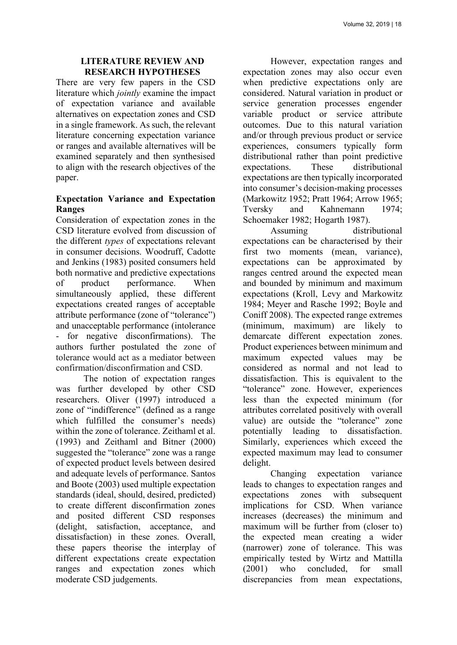#### **LITERATURE REVIEW AND RESEARCH HYPOTHESES**

There are very few papers in the CSD literature which *jointly* examine the impact of expectation variance and available alternatives on expectation zones and CSD in a single framework. As such, the relevant literature concerning expectation variance or ranges and available alternatives will be examined separately and then synthesised to align with the research objectives of the paper.

# **Expectation Variance and Expectation Ranges**

Consideration of expectation zones in the CSD literature evolved from discussion of the different *types* of expectations relevant in consumer decisions. Woodruff, Cadotte and Jenkins (1983) posited consumers held both normative and predictive expectations of product performance. When simultaneously applied, these different expectations created ranges of acceptable attribute performance (zone of "tolerance") and unacceptable performance (intolerance - for negative disconfirmations). The authors further postulated the zone of tolerance would act as a mediator between confirmation/disconfirmation and CSD.

The notion of expectation ranges was further developed by other CSD researchers. Oliver (1997) introduced a zone of "indifference" (defined as a range which fulfilled the consumer's needs) within the zone of tolerance. Zeithaml et al. (1993) and Zeithaml and Bitner (2000) suggested the "tolerance" zone was a range of expected product levels between desired and adequate levels of performance. Santos and Boote (2003) used multiple expectation standards (ideal, should, desired, predicted) to create different disconfirmation zones and posited different CSD responses (delight, satisfaction, acceptance, and dissatisfaction) in these zones. Overall, these papers theorise the interplay of different expectations create expectation ranges and expectation zones which moderate CSD judgements.

However, expectation ranges and expectation zones may also occur even when predictive expectations only are considered. Natural variation in product or service generation processes engender variable product or service attribute outcomes. Due to this natural variation and/or through previous product or service experiences, consumers typically form distributional rather than point predictive expectations. These distributional expectations are then typically incorporated into consumer's decision-making processes (Markowitz 1952; Pratt 1964; Arrow 1965; Tversky and Kahnemann 1974; Schoemaker 1982; Hogarth 1987).

Assuming distributional expectations can be characterised by their first two moments (mean, variance), expectations can be approximated by ranges centred around the expected mean and bounded by minimum and maximum expectations (Kroll, Levy and Markowitz 1984; Meyer and Rasche 1992; Boyle and Coniff 2008). The expected range extremes (minimum, maximum) are likely to demarcate different expectation zones. Product experiences between minimum and maximum expected values may be considered as normal and not lead to dissatisfaction. This is equivalent to the "tolerance" zone. However, experiences less than the expected minimum (for attributes correlated positively with overall value) are outside the "tolerance" zone potentially leading to dissatisfaction. Similarly, experiences which exceed the expected maximum may lead to consumer delight.

Changing expectation variance leads to changes to expectation ranges and expectations zones with subsequent implications for CSD. When variance increases (decreases) the minimum and maximum will be further from (closer to) the expected mean creating a wider (narrower) zone of tolerance. This was empirically tested by Wirtz and Mattilla (2001) who concluded, for small discrepancies from mean expectations,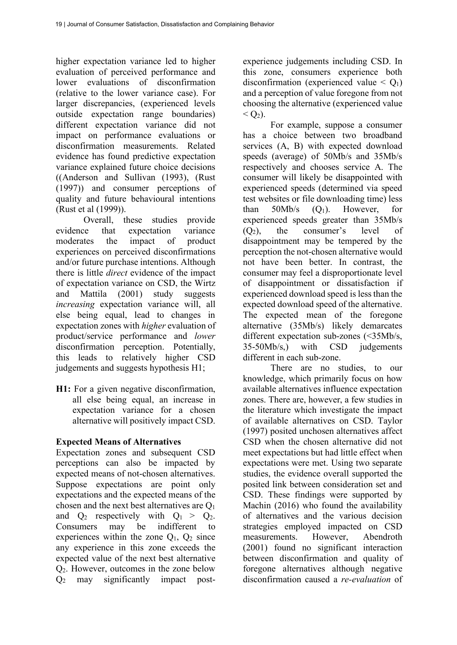higher expectation variance led to higher evaluation of perceived performance and lower evaluations of disconfirmation (relative to the lower variance case). For larger discrepancies, (experienced levels outside expectation range boundaries) different expectation variance did not impact on performance evaluations or disconfirmation measurements. Related evidence has found predictive expectation variance explained future choice decisions ((Anderson and Sullivan (1993), (Rust (1997)) and consumer perceptions of quality and future behavioural intentions (Rust et al (1999)).

Overall, these studies provide evidence that expectation variance moderates the impact of product experiences on perceived disconfirmations and/or future purchase intentions. Although there is little *direct* evidence of the impact of expectation variance on CSD, the Wirtz and Mattila (2001) study suggests *increasing* expectation variance will, all else being equal, lead to changes in expectation zones with *higher* evaluation of product/service performance and *lower* disconfirmation perception. Potentially, this leads to relatively higher CSD judgements and suggests hypothesis H1;

H1: For a given negative disconfirmation, all else being equal, an increase in expectation variance for a chosen alternative will positively impact CSD.

# **Expected Means of Alternatives**

Expectation zones and subsequent CSD perceptions can also be impacted by expected means of not-chosen alternatives. Suppose expectations are point only expectations and the expected means of the chosen and the next best alternatives are Q1 and  $Q_2$  respectively with  $Q_1 > Q_2$ . Consumers may be indifferent to experiences within the zone  $Q_1$ ,  $Q_2$  since any experience in this zone exceeds the expected value of the next best alternative Q2. However, outcomes in the zone below Q2 may significantly impact postexperience judgements including CSD. In this zone, consumers experience both disconfirmation (experienced value  $\leq$  O<sub>1</sub>) and a perception of value foregone from not choosing the alternative (experienced value  $\langle$   $\langle$   $\rangle$ ).

For example, suppose a consumer has a choice between two broadband services (A, B) with expected download speeds (average) of 50Mb/s and 35Mb/s respectively and chooses service A. The consumer will likely be disappointed with experienced speeds (determined via speed test websites or file downloading time) less than  $50Mb/s$  (Q<sub>1</sub>). However, for experienced speeds greater than 35Mb/s  $(Q_2)$ , the consumer's level of disappointment may be tempered by the perception the not-chosen alternative would not have been better. In contrast, the consumer may feel a disproportionate level of disappointment or dissatisfaction if experienced download speed is less than the expected download speed of the alternative. The expected mean of the foregone alternative (35Mb/s) likely demarcates different expectation sub-zones (<35Mb/s, 35-50Mb/s,) with CSD judgements different in each sub-zone.

There are no studies, to our knowledge, which primarily focus on how available alternatives influence expectation zones. There are, however, a few studies in the literature which investigate the impact of available alternatives on CSD. Taylor (1997) posited unchosen alternatives affect CSD when the chosen alternative did not meet expectations but had little effect when expectations were met. Using two separate studies, the evidence overall supported the posited link between consideration set and CSD. These findings were supported by Machin (2016) who found the availability of alternatives and the various decision strategies employed impacted on CSD measurements. However, Abendroth (2001) found no significant interaction between disconfirmation and quality of foregone alternatives although negative disconfirmation caused a *re-evaluation* of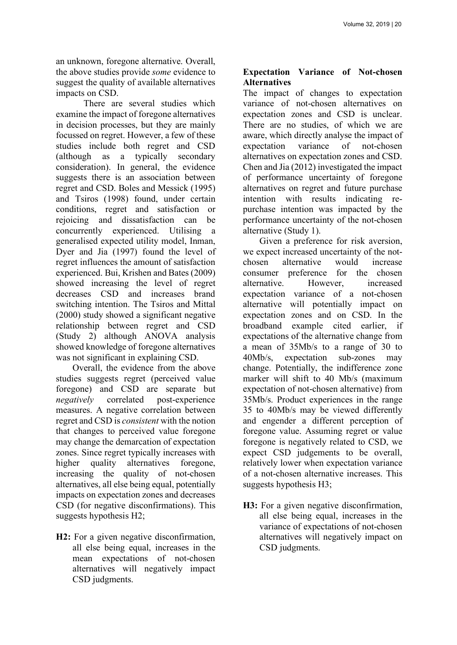an unknown, foregone alternative. Overall, the above studies provide *some* evidence to suggest the quality of available alternatives impacts on CSD.

There are several studies which examine the impact of foregone alternatives in decision processes, but they are mainly focussed on regret. However, a few of these studies include both regret and CSD (although as a typically secondary consideration). In general, the evidence suggests there is an association between regret and CSD. Boles and Messick (1995) and Tsiros (1998) found, under certain conditions, regret and satisfaction or rejoicing and dissatisfaction can be concurrently experienced. Utilising a generalised expected utility model, Inman, Dyer and Jia (1997) found the level of regret influences the amount of satisfaction experienced. Bui, Krishen and Bates (2009) showed increasing the level of regret decreases CSD and increases brand switching intention. The Tsiros and Mittal (2000) study showed a significant negative relationship between regret and CSD (Study 2) although ANOVA analysis showed knowledge of foregone alternatives was not significant in explaining CSD.

Overall, the evidence from the above studies suggests regret (perceived value foregone) and CSD are separate but *negatively* correlated post-experience measures. A negative correlation between regret and CSD is *consistent* with the notion that changes to perceived value foregone may change the demarcation of expectation zones. Since regret typically increases with higher quality alternatives foregone, increasing the quality of not-chosen alternatives, all else being equal, potentially impacts on expectation zones and decreases CSD (for negative disconfirmations). This suggests hypothesis H2;

**H2:** For a given negative disconfirmation, all else being equal, increases in the mean expectations of not-chosen alternatives will negatively impact CSD judgments.

# **Expectation Variance of Not-chosen Alternatives**

The impact of changes to expectation variance of not-chosen alternatives on expectation zones and CSD is unclear. There are no studies, of which we are aware, which directly analyse the impact of expectation variance of not-chosen alternatives on expectation zones and CSD. Chen and Jia (2012) investigated the impact of performance uncertainty of foregone alternatives on regret and future purchase intention with results indicating repurchase intention was impacted by the performance uncertainty of the not-chosen alternative (Study 1).

Given a preference for risk aversion, we expect increased uncertainty of the notchosen alternative would increase consumer preference for the chosen alternative. However increased expectation variance of a not-chosen alternative will potentially impact on expectation zones and on CSD. In the broadband example cited earlier, if expectations of the alternative change from a mean of 35Mb/s to a range of 30 to 40Mb/s, expectation sub-zones may change. Potentially, the indifference zone marker will shift to 40 Mb/s (maximum expectation of not-chosen alternative) from 35Mb/s. Product experiences in the range 35 to 40Mb/s may be viewed differently and engender a different perception of foregone value. Assuming regret or value foregone is negatively related to CSD, we expect CSD judgements to be overall, relatively lower when expectation variance of a not-chosen alternative increases. This suggests hypothesis H3;

H3: For a given negative disconfirmation, all else being equal, increases in the variance of expectations of not-chosen alternatives will negatively impact on CSD judgments.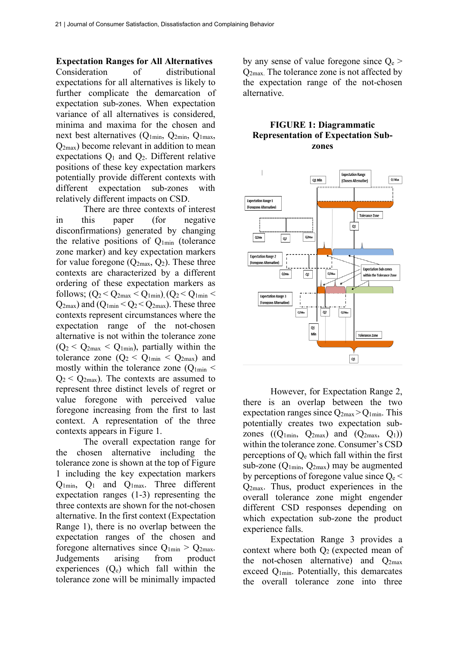**Expectation Ranges for All Alternatives** 

Consideration of distributional expectations for all alternatives is likely to further complicate the demarcation of expectation sub-zones. When expectation variance of all alternatives is considered, minima and maxima for the chosen and next best alternatives  $(Q_{1min}, Q_{2min}, Q_{1max})$ Q2max) become relevant in addition to mean expectations  $Q_1$  and  $Q_2$ . Different relative positions of these key expectation markers potentially provide different contexts with different expectation sub-zones with relatively different impacts on CSD.

There are three contexts of interest in this paper (for negative disconfirmations) generated by changing the relative positions of Q1min (tolerance zone marker) and key expectation markers for value foregone  $(Q_{2max}, Q_2)$ . These three contexts are characterized by a different ordering of these expectation markers as follows;  $(Q_2 < Q_{2max} < Q_{1min})$ ,  $(Q_2 < Q_{1min} <$  $Q_{2max}$ ) and  $(Q_{1min} < Q_2 < Q_{2max})$ . These three contexts represent circumstances where the expectation range of the not-chosen alternative is not within the tolerance zone  $(Q_2 < Q_{2max} < Q_{1min})$ , partially within the tolerance zone  $(Q_2 < Q_{1min} < Q_{2max})$  and mostly within the tolerance zone  $(Q_{1min}$  <  $Q_2 < Q_{2max}$ ). The contexts are assumed to represent three distinct levels of regret or value foregone with perceived value foregone increasing from the first to last context. A representation of the three contexts appears in Figure 1.

The overall expectation range for the chosen alternative including the tolerance zone is shown at the top of Figure 1 including the key expectation markers Q1min, Q1 and Q1max. Three different expectation ranges (1-3) representing the three contexts are shown for the not-chosen alternative. In the first context (Expectation Range 1), there is no overlap between the expectation ranges of the chosen and foregone alternatives since  $Q_{1min} > Q_{2max}$ . Judgements arising from product experiences  $(Q_e)$  which fall within the tolerance zone will be minimally impacted

by any sense of value foregone since  $Q_e$ Q2max. The tolerance zone is not affected by the expectation range of the not-chosen alternative.

## **FIGURE 1: Diagrammatic Representation of Expectation Subzones**



However, for Expectation Range 2, there is an overlap between the two expectation ranges since  $Q_{2max} > Q_{1min}$ . This potentially creates two expectation subzones  $((Q_{1\text{min}}, Q_{2\text{max}})$  and  $(Q_{2\text{max}}, Q_1))$ within the tolerance zone. Consumer's CSD perceptions of Qe which fall within the first sub-zone  $(Q_{1min}, Q_{2max})$  may be augmented by perceptions of foregone value since  $Q_e$  < Q2max. Thus, product experiences in the overall tolerance zone might engender different CSD responses depending on which expectation sub-zone the product experience falls.

Expectation Range 3 provides a context where both  $O<sub>2</sub>$  (expected mean of the not-chosen alternative) and  $Q<sub>2max</sub>$ exceed Q1min. Potentially, this demarcates the overall tolerance zone into three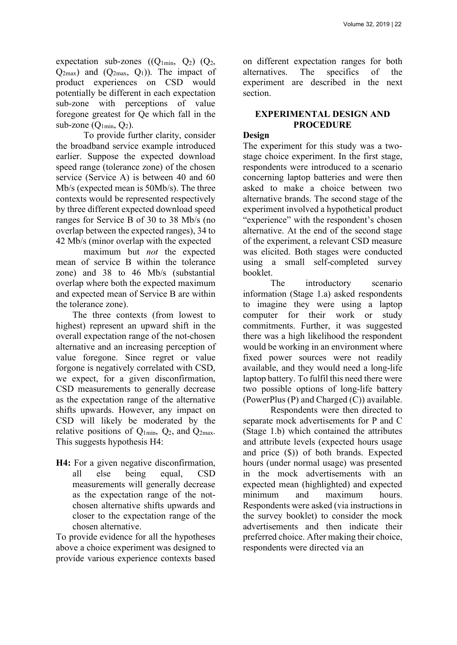expectation sub-zones  $((Q_{1min}, Q_2), (Q_2,$  $Q_{2max}$ ) and  $(Q_{2max}, Q_1)$ ). The impact of product experiences on CSD would potentially be different in each expectation sub-zone with perceptions of value foregone greatest for Qe which fall in the sub-zone  $(Q_{1min}, Q_2)$ .

To provide further clarity, consider the broadband service example introduced earlier. Suppose the expected download speed range (tolerance zone) of the chosen service (Service A) is between 40 and 60 Mb/s (expected mean is 50Mb/s). The three contexts would be represented respectively by three different expected download speed ranges for Service B of 30 to 38 Mb/s (no overlap between the expected ranges), 34 to 42 Mb/s (minor overlap with the expected

maximum but *not* the expected mean of service B within the tolerance zone) and 38 to 46 Mb/s (substantial overlap where both the expected maximum and expected mean of Service B are within the tolerance zone).

The three contexts (from lowest to highest) represent an upward shift in the overall expectation range of the not-chosen alternative and an increasing perception of value foregone. Since regret or value forgone is negatively correlated with CSD, we expect, for a given disconfirmation, CSD measurements to generally decrease as the expectation range of the alternative shifts upwards. However, any impact on CSD will likely be moderated by the relative positions of  $Q_{1min}$ ,  $Q_2$ , and  $Q_{2max}$ . This suggests hypothesis H4:

**H4:** For a given negative disconfirmation, all else being equal, CSD measurements will generally decrease as the expectation range of the notchosen alternative shifts upwards and closer to the expectation range of the chosen alternative.

To provide evidence for all the hypotheses above a choice experiment was designed to provide various experience contexts based

on different expectation ranges for both alternatives. The specifics of the experiment are described in the next section.

#### **EXPERIMENTAL DESIGN AND PROCEDURE**

## **Design**

The experiment for this study was a twostage choice experiment. In the first stage, respondents were introduced to a scenario concerning laptop batteries and were then asked to make a choice between two alternative brands. The second stage of the experiment involved a hypothetical product "experience" with the respondent's chosen alternative. At the end of the second stage of the experiment, a relevant CSD measure was elicited. Both stages were conducted using a small self-completed survey booklet.

The introductory scenario information (Stage 1.a) asked respondents to imagine they were using a laptop computer for their work or study commitments. Further, it was suggested there was a high likelihood the respondent would be working in an environment where fixed power sources were not readily available, and they would need a long-life laptop battery. To fulfil this need there were two possible options of long-life battery (PowerPlus (P) and Charged (C)) available.

Respondents were then directed to separate mock advertisements for P and C (Stage 1.b) which contained the attributes and attribute levels (expected hours usage and price (\$)) of both brands. Expected hours (under normal usage) was presented in the mock advertisements with an expected mean (highlighted) and expected minimum and maximum hours. Respondents were asked (via instructions in the survey booklet) to consider the mock advertisements and then indicate their preferred choice. After making their choice, respondents were directed via an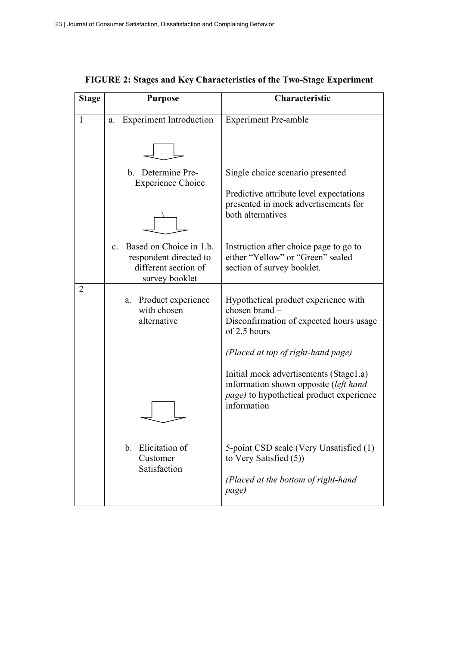| <b>Stage</b>   | <b>Purpose</b>                                                                                                | Characteristic                                                                                                                                     |
|----------------|---------------------------------------------------------------------------------------------------------------|----------------------------------------------------------------------------------------------------------------------------------------------------|
| 1              | <b>Experiment Introduction</b><br>a.                                                                          | <b>Experiment Pre-amble</b>                                                                                                                        |
|                |                                                                                                               |                                                                                                                                                    |
|                | b. Determine Pre-<br><b>Experience Choice</b>                                                                 | Single choice scenario presented                                                                                                                   |
|                |                                                                                                               | Predictive attribute level expectations<br>presented in mock advertisements for<br>both alternatives                                               |
|                | Based on Choice in 1.b.<br>$\mathbf{c}$ .<br>respondent directed to<br>different section of<br>survey booklet | Instruction after choice page to go to<br>either "Yellow" or "Green" sealed<br>section of survey booklet.                                          |
| $\overline{2}$ | Product experience<br>а.<br>with chosen<br>alternative                                                        | Hypothetical product experience with<br>chosen brand -<br>Disconfirmation of expected hours usage<br>of 2.5 hours                                  |
|                |                                                                                                               | (Placed at top of right-hand page)                                                                                                                 |
|                |                                                                                                               | Initial mock advertisements (Stage1.a)<br>information shown opposite (left hand<br><i>page</i> ) to hypothetical product experience<br>information |
|                | Elicitation of<br>b.<br>Customer<br>Satisfaction                                                              | 5-point CSD scale (Very Unsatisfied (1)<br>to Very Satisfied (5))<br>(Placed at the bottom of right-hand<br>page)                                  |

|  | FIGURE 2: Stages and Key Characteristics of the Two-Stage Experiment |  |  |
|--|----------------------------------------------------------------------|--|--|
|  |                                                                      |  |  |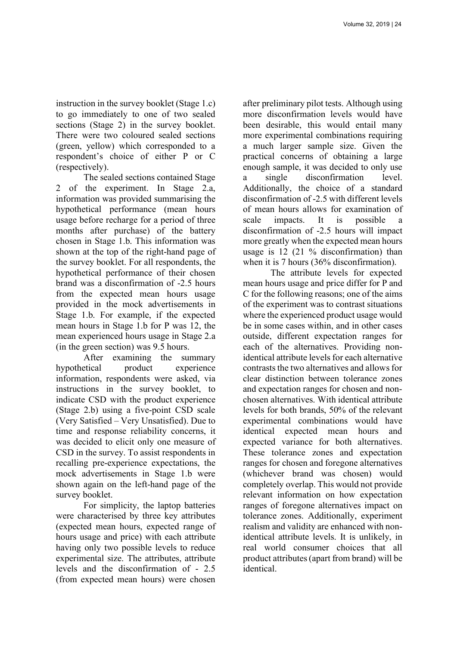instruction in the survey booklet (Stage 1.c) to go immediately to one of two sealed sections (Stage 2) in the survey booklet. There were two coloured sealed sections (green, yellow) which corresponded to a respondent's choice of either P or C (respectively).

The sealed sections contained Stage 2 of the experiment. In Stage 2.a, information was provided summarising the hypothetical performance (mean hours usage before recharge for a period of three months after purchase) of the battery chosen in Stage 1.b. This information was shown at the top of the right-hand page of the survey booklet. For all respondents, the hypothetical performance of their chosen brand was a disconfirmation of -2.5 hours from the expected mean hours usage provided in the mock advertisements in Stage 1.b. For example, if the expected mean hours in Stage 1.b for P was 12, the mean experienced hours usage in Stage 2.a (in the green section) was 9.5 hours.

After examining the summary hypothetical product experience information, respondents were asked, via instructions in the survey booklet, to indicate CSD with the product experience (Stage 2.b) using a five-point CSD scale (Very Satisfied – Very Unsatisfied). Due to time and response reliability concerns, it was decided to elicit only one measure of CSD in the survey. To assist respondents in recalling pre-experience expectations, the mock advertisements in Stage 1.b were shown again on the left-hand page of the survey booklet.

For simplicity, the laptop batteries were characterised by three key attributes (expected mean hours, expected range of hours usage and price) with each attribute having only two possible levels to reduce experimental size. The attributes, attribute levels and the disconfirmation of - 2.5 (from expected mean hours) were chosen

after preliminary pilot tests. Although using more disconfirmation levels would have been desirable, this would entail many more experimental combinations requiring a much larger sample size. Given the practical concerns of obtaining a large enough sample, it was decided to only use a single disconfirmation level. Additionally, the choice of a standard disconfirmation of -2.5 with different levels of mean hours allows for examination of scale impacts. It is possible a disconfirmation of -2.5 hours will impact more greatly when the expected mean hours usage is 12 (21 % disconfirmation) than when it is 7 hours (36% disconfirmation).

The attribute levels for expected mean hours usage and price differ for P and C for the following reasons; one of the aims of the experiment was to contrast situations where the experienced product usage would be in some cases within, and in other cases outside, different expectation ranges for each of the alternatives. Providing nonidentical attribute levels for each alternative contrasts the two alternatives and allows for clear distinction between tolerance zones and expectation ranges for chosen and nonchosen alternatives. With identical attribute levels for both brands, 50% of the relevant experimental combinations would have identical expected mean hours and expected variance for both alternatives. These tolerance zones and expectation ranges for chosen and foregone alternatives (whichever brand was chosen) would completely overlap. This would not provide relevant information on how expectation ranges of foregone alternatives impact on tolerance zones. Additionally, experiment realism and validity are enhanced with nonidentical attribute levels. It is unlikely, in real world consumer choices that all product attributes (apart from brand) will be identical.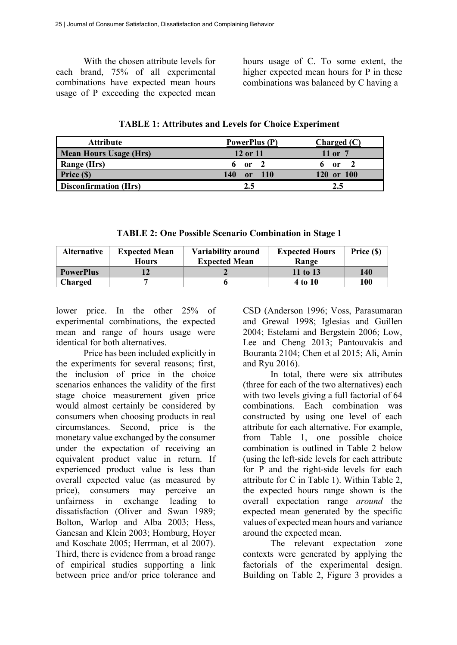With the chosen attribute levels for each brand, 75% of all experimental combinations have expected mean hours usage of P exceeding the expected mean hours usage of C. To some extent, the higher expected mean hours for P in these combinations was balanced by C having a

**TABLE 1: Attributes and Levels for Choice Experiment** 

| <b>Attribute</b>              | <b>PowerPlus (P)</b>    | Charged (C) |
|-------------------------------|-------------------------|-------------|
| <b>Mean Hours Usage (Hrs)</b> | 12 or 11                | 11 or 7     |
| Range (Hrs)                   | or                      | or          |
| Price (\$)                    | 140<br><b>110</b><br>or | or 100      |
| <b>Disconfirmation (Hrs)</b>  | 2.5                     | 2.5         |

**TABLE 2: One Possible Scenario Combination in Stage 1** 

| <b>Alternative</b> | <b>Expected Mean</b> | Variability around   | <b>Expected Hours</b> | Price (\$) |
|--------------------|----------------------|----------------------|-----------------------|------------|
|                    | <b>Hours</b>         | <b>Expected Mean</b> | Range                 |            |
| <b>PowerPlus</b>   |                      |                      | 11 to 13              | 140        |
| Charged            |                      |                      | 4 to 10               | 100        |

lower price. In the other 25% of experimental combinations, the expected mean and range of hours usage were identical for both alternatives.

Price has been included explicitly in the experiments for several reasons; first, the inclusion of price in the choice scenarios enhances the validity of the first stage choice measurement given price would almost certainly be considered by consumers when choosing products in real circumstances. Second, price is the monetary value exchanged by the consumer under the expectation of receiving an equivalent product value in return. If experienced product value is less than overall expected value (as measured by price), consumers may perceive an unfairness in exchange leading to dissatisfaction (Oliver and Swan 1989; Bolton, Warlop and Alba 2003; Hess, Ganesan and Klein 2003; Homburg, Hoyer and Koschate 2005; Herrman, et al 2007). Third, there is evidence from a broad range of empirical studies supporting a link between price and/or price tolerance and

CSD (Anderson 1996; Voss, Parasumaran and Grewal 1998; Iglesias and Guillen 2004; Estelami and Bergstein 2006; Low, Lee and Cheng 2013; Pantouvakis and Bouranta 2104; Chen et al 2015; Ali, Amin and Ryu 2016).

In total, there were six attributes (three for each of the two alternatives) each with two levels giving a full factorial of 64 combinations. Each combination was constructed by using one level of each attribute for each alternative. For example, from Table 1, one possible choice combination is outlined in Table 2 below (using the left-side levels for each attribute for P and the right-side levels for each attribute for C in Table 1). Within Table 2, the expected hours range shown is the overall expectation range *around* the expected mean generated by the specific values of expected mean hours and variance around the expected mean.

The relevant expectation zone contexts were generated by applying the factorials of the experimental design. Building on Table 2, Figure 3 provides a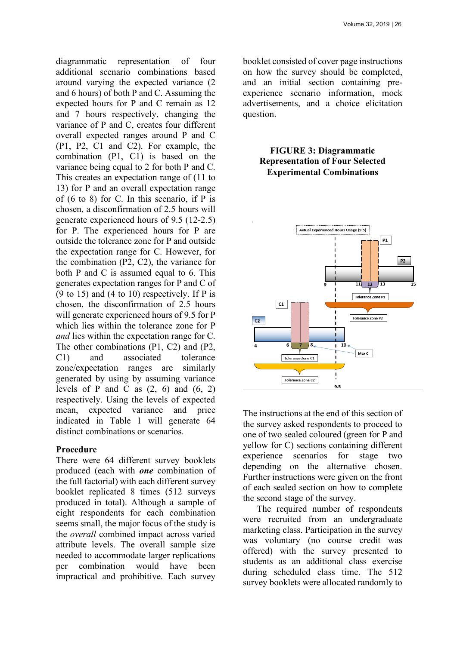diagrammatic representation of four additional scenario combinations based around varying the expected variance (2 and 6 hours) of both P and C. Assuming the expected hours for P and C remain as 12 and 7 hours respectively, changing the variance of P and C, creates four different overall expected ranges around P and C (P1, P2, C1 and C2). For example, the combination (P1, C1) is based on the variance being equal to 2 for both P and C. This creates an expectation range of (11 to 13) for P and an overall expectation range of (6 to 8) for C. In this scenario, if P is chosen, a disconfirmation of 2.5 hours will generate experienced hours of 9.5 (12-2.5) for P. The experienced hours for P are outside the tolerance zone for P and outside the expectation range for C. However, for the combination (P2, C2), the variance for both P and C is assumed equal to 6. This generates expectation ranges for P and C of  $(9 \text{ to } 15)$  and  $(4 \text{ to } 10)$  respectively. If P is chosen, the disconfirmation of 2.5 hours will generate experienced hours of 9.5 for P which lies within the tolerance zone for P *and* lies within the expectation range for C. The other combinations (P1, C2) and (P2, C1) and associated tolerance zone/expectation ranges are similarly generated by using by assuming variance levels of P and C as  $(2, 6)$  and  $(6, 2)$ respectively. Using the levels of expected mean, expected variance and price indicated in Table 1 will generate 64 distinct combinations or scenarios.

#### **Procedure**

There were 64 different survey booklets produced (each with *one* combination of the full factorial) with each different survey booklet replicated 8 times (512 surveys produced in total). Although a sample of eight respondents for each combination seems small, the major focus of the study is the *overall* combined impact across varied attribute levels. The overall sample size needed to accommodate larger replications per combination would have been impractical and prohibitive. Each survey

booklet consisted of cover page instructions on how the survey should be completed, and an initial section containing preexperience scenario information, mock advertisements, and a choice elicitation question.

## **FIGURE 3: Diagrammatic Representation of Four Selected Experimental Combinations**



The instructions at the end of this section of the survey asked respondents to proceed to one of two sealed coloured (green for P and yellow for C) sections containing different experience scenarios for stage two depending on the alternative chosen. Further instructions were given on the front of each sealed section on how to complete the second stage of the survey.

The required number of respondents were recruited from an undergraduate marketing class. Participation in the survey was voluntary (no course credit was offered) with the survey presented to students as an additional class exercise during scheduled class time. The 512 survey booklets were allocated randomly to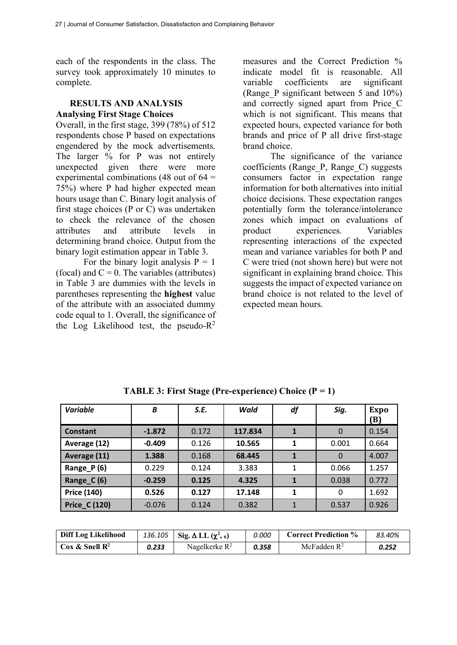each of the respondents in the class. The survey took approximately 10 minutes to complete.

## **RESULTS AND ANALYSIS Analysing First Stage Choices**

Overall, in the first stage, 399 (78%) of 512 respondents chose P based on expectations engendered by the mock advertisements. The larger % for P was not entirely unexpected given there were more experimental combinations (48 out of  $64 =$ 75%) where P had higher expected mean hours usage than C. Binary logit analysis of first stage choices (P or C) was undertaken to check the relevance of the chosen attributes and attribute levels in determining brand choice. Output from the binary logit estimation appear in Table 3.

For the binary logit analysis  $P = 1$ (focal) and  $C = 0$ . The variables (attributes) in Table 3 are dummies with the levels in parentheses representing the **highest** value of the attribute with an associated dummy code equal to 1. Overall, the significance of the Log Likelihood test, the pseudo- $R^2$ 

measures and the Correct Prediction % indicate model fit is reasonable. All variable coefficients are significant (Range\_P significant between 5 and 10%) and correctly signed apart from Price\_C which is not significant. This means that expected hours, expected variance for both brands and price of P all drive first-stage brand choice.

The significance of the variance coefficients (Range\_P, Range\_C) suggests consumers factor in expectation range information for both alternatives into initial choice decisions. These expectation ranges potentially form the tolerance/intolerance zones which impact on evaluations of product experiences. Variables representing interactions of the expected mean and variance variables for both P and C were tried (not shown here) but were not significant in explaining brand choice. This suggests the impact of expected variance on brand choice is not related to the level of expected mean hours.

| <b>Variable</b>      | B        | S.E.  | Wald    | df | Sig.     | <b>Expo</b><br>'B) |
|----------------------|----------|-------|---------|----|----------|--------------------|
| <b>Constant</b>      | $-1.872$ | 0.172 | 117.834 | 1  | $\Omega$ | 0.154              |
| Average (12)         | $-0.409$ | 0.126 | 10.565  | 1  | 0.001    | 0.664              |
| Average (11)         | 1.388    | 0.168 | 68.445  |    | $\Omega$ | 4.007              |
| Range_P (6)          | 0.229    | 0.124 | 3.383   |    | 0.066    | 1.257              |
| Range_C (6)          | $-0.259$ | 0.125 | 4.325   |    | 0.038    | 0.772              |
| <b>Price (140)</b>   | 0.526    | 0.127 | 17.148  | 1  | 0        | 1.692              |
| <b>Price_C (120)</b> | $-0.076$ | 0.124 | 0.382   |    | 0.537    | 0.926              |

**TABLE 3: First Stage (Pre-experience) Choice (P = 1)** 

| <b>Diff Log Likelihood</b>     | 136.105 | Sig. $\Delta$ LL $(\chi^2, 6)$ | 0.000 | <b>Correct Prediction %</b> | 83.40% |
|--------------------------------|---------|--------------------------------|-------|-----------------------------|--------|
| $\cos \&$ Snell $\mathbb{R}^2$ | 0.233   | Nagelkerke $R^2$               | 0.358 | McFadden $R^2$              | 0.252  |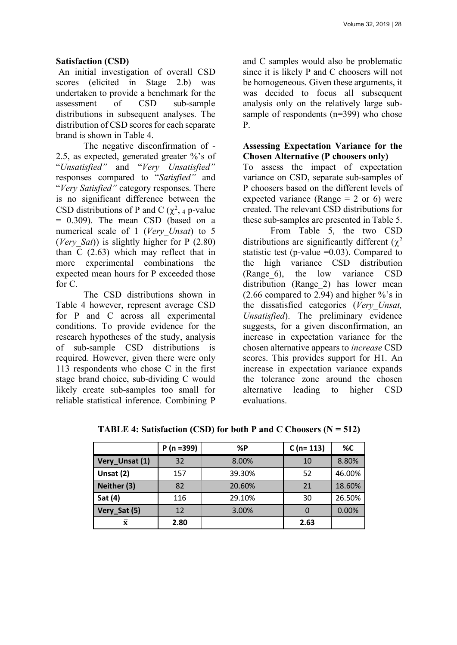### **Satisfaction (CSD)**

An initial investigation of overall CSD scores (elicited in Stage 2.b) was undertaken to provide a benchmark for the assessment of CSD sub-sample distributions in subsequent analyses. The distribution of CSD scores for each separate brand is shown in Table 4.

The negative disconfirmation of - 2.5, as expected, generated greater %'s of "*Unsatisfied"* and "*Very Unsatisfied"* responses compared to "*Satisfied"* and "*Very Satisfied"* category responses. There is no significant difference between the CSD distributions of P and C  $(\chi^2, 4)$  p-value = 0.309). The mean CSD (based on a numerical scale of 1 (*Very\_Unsat*) to 5 (*Very\_Sat*)) is slightly higher for P (2.80) than C (2.63) which may reflect that in more experimental combinations the expected mean hours for P exceeded those for C.

The CSD distributions shown in Table 4 however, represent average CSD for P and C across all experimental conditions. To provide evidence for the research hypotheses of the study, analysis of sub-sample CSD distributions is required. However, given there were only 113 respondents who chose C in the first stage brand choice, sub-dividing C would likely create sub-samples too small for reliable statistical inference. Combining P

and C samples would also be problematic since it is likely P and C choosers will not be homogeneous. Given these arguments, it was decided to focus all subsequent analysis only on the relatively large subsample of respondents (n=399) who chose P.

### **Assessing Expectation Variance for the Chosen Alternative (P choosers only)**

To assess the impact of expectation variance on CSD, separate sub-samples of P choosers based on the different levels of expected variance (Range  $= 2$  or 6) were created. The relevant CSD distributions for these sub-samples are presented in Table 5.

From Table 5, the two CSD distributions are significantly different  $(\gamma^2)$ statistic test (p-value  $=0.03$ ). Compared to the high variance CSD distribution (Range\_6), the low variance CSD distribution (Range 2) has lower mean (2.66 compared to 2.94) and higher %'s in the dissatisfied categories (*Very\_Unsat, Unsatisfied*). The preliminary evidence suggests, for a given disconfirmation, an increase in expectation variance for the chosen alternative appears to *increase* CSD scores. This provides support for H1. An increase in expectation variance expands the tolerance zone around the chosen alternative leading to higher CSD evaluations.

|                    | $P(n=399)$ | %P     | $C(n=113)$ | %C     |
|--------------------|------------|--------|------------|--------|
| Very_Unsat (1)     | 32         | 8.00%  | 10         | 8.80%  |
| Unsat (2)          | 157        | 39.30% | 52         | 46.00% |
| Neither (3)        | 82         | 20.60% | 21         | 18.60% |
| Sat (4)            | 116        | 29.10% | 30         | 26.50% |
| Very_Sat (5)       | 12         | 3.00%  | 0          | 0.00%  |
| $\bar{\mathbf{x}}$ | 2.80       |        | 2.63       |        |

**TABLE 4: Satisfaction (CSD) for both P and C Choosers (N = 512)**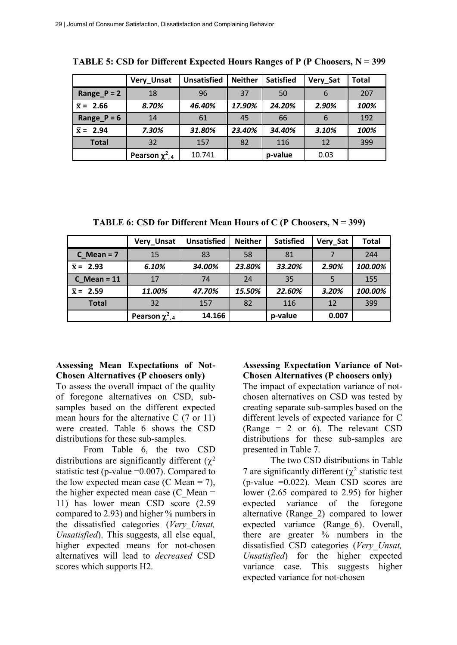|                  | Very_Unsat             | <b>Unsatisfied</b> | <b>Neither</b> | <b>Satisfied</b> | Very_Sat | <b>Total</b> |
|------------------|------------------------|--------------------|----------------|------------------|----------|--------------|
| Range_ $P = 2$   | 18                     | 96                 | 37             | 50               | 6        | 207          |
| $\bar{x} = 2.66$ | 8.70%                  | 46.40%             | 17.90%         | 24.20%           | 2.90%    | 100%         |
| Range_P = $6$    | 14                     | 61                 | 45             | 66               | 6        | 192          |
| $\bar{x} = 2.94$ | 7.30%                  | 31.80%             | 23.40%         | 34.40%           | 3.10%    | 100%         |
| <b>Total</b>     | 32                     | 157                | 82             | 116              | 12       | 399          |
|                  | Pearson $\chi^2_{1,4}$ | 10.741             |                | p-value          | 0.03     |              |

**TABLE 5: CSD for Different Expected Hours Ranges of P (P Choosers, N = 399**

**TABLE 6: CSD for Different Mean Hours of C (P Choosers, N = 399)**

|                  | Very_Unsat             | <b>Unsatisfied</b> | <b>Neither</b> | <b>Satisfied</b> | Very Sat | Total   |
|------------------|------------------------|--------------------|----------------|------------------|----------|---------|
| $C$ Mean = 7     | 15                     | 83                 | 58             | 81               |          | 244     |
| $\bar{x} = 2.93$ | 6.10%                  | 34.00%             | 23.80%         | 33.20%           | 2.90%    | 100.00% |
| $C$ Mean = 11    | 17                     | 74                 | 24             | 35               |          | 155     |
| $\bar{x} = 2.59$ | 11.00%                 | 47.70%             | 15.50%         | 22.60%           | 3.20%    | 100.00% |
| <b>Total</b>     | 32                     | 157                | 82             | 116              | 12       | 399     |
|                  | Pearson $\chi^2_{1,4}$ | 14.166             |                | p-value          | 0.007    |         |

## **Assessing Mean Expectations of Not-Chosen Alternatives (P choosers only)**

To assess the overall impact of the quality of foregone alternatives on CSD, subsamples based on the different expected mean hours for the alternative C (7 or 11) were created. Table 6 shows the CSD distributions for these sub-samples.

From Table 6, the two CSD distributions are significantly different  $(\chi^2)$ statistic test (p-value =0.007). Compared to the low expected mean case (C Mean = 7), the higher expected mean case  $(C \text{ Mean} =$ 11) has lower mean CSD score (2.59 compared to 2.93) and higher % numbers in the dissatisfied categories (*Very\_Unsat, Unsatisfied*). This suggests, all else equal, higher expected means for not-chosen alternatives will lead to *decreased* CSD scores which supports H2.

# **Assessing Expectation Variance of Not-Chosen Alternatives (P choosers only)**

The impact of expectation variance of notchosen alternatives on CSD was tested by creating separate sub-samples based on the different levels of expected variance for C (Range  $= 2$  or 6). The relevant CSD distributions for these sub-samples are presented in Table 7.

The two CSD distributions in Table 7 are significantly different  $(\chi^2$  statistic test (p-value  $=0.022$ ). Mean CSD scores are lower (2.65 compared to 2.95) for higher expected variance of the foregone alternative (Range\_2) compared to lower expected variance (Range\_6). Overall, there are greater % numbers in the dissatisfied CSD categories (*Very\_Unsat, Unsatisfied*) for the higher expected variance case. This suggests higher expected variance for not-chosen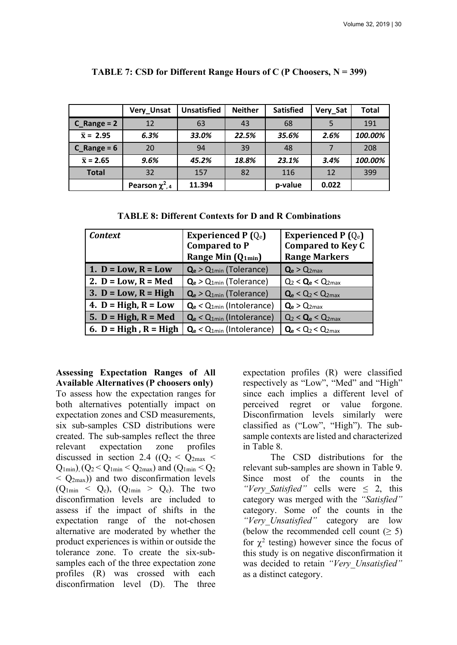|                  | Very_Unsat             | <b>Unsatisfied</b> | <b>Neither</b> | <b>Satisfied</b> | Very Sat | <b>Total</b> |
|------------------|------------------------|--------------------|----------------|------------------|----------|--------------|
| $C_R$ Range = 2  | 12                     | 63                 | 43             | 68               |          | 191          |
| $\bar{x} = 2.95$ | 6.3%                   | 33.0%              | 22.5%          | 35.6%            | 2.6%     | 100.00%      |
| $C$ Range = 6    | 20                     | 94                 | 39             | 48               |          | 208          |
| $\bar{x}$ = 2.65 | 9.6%                   | 45.2%              | 18.8%          | 23.1%            | 3.4%     | 100.00%      |
| <b>Total</b>     | 32                     | 157                | 82             | 116              | 12       | 399          |
|                  | Pearson $\chi^2_{1,4}$ | 11.394             |                | p-value          | 0.022    |              |

#### **TABLE 7: CSD for Different Range Hours of C (P Choosers, N = 399)**

**TABLE 8: Different Contexts for D and R Combinations**

| <b>Context</b>          | Experienced P $(Q_e)$                     | Experienced P $(Q_e)$                                |
|-------------------------|-------------------------------------------|------------------------------------------------------|
|                         | <b>Compared to P</b>                      | <b>Compared to Key C</b>                             |
|                         | Range Min (Q <sub>1min</sub> )            | <b>Range Markers</b>                                 |
| 1. $D = Low, R = Low$   | $\mathbf{Q}_{e}$ > $Q_{1min}$ (Tolerance) | $\mathbf{Q}_{\mathbf{e}} > \mathbf{Q}_{2\text{max}}$ |
| 2. $D = Low, R = Med$   | $Q_e > Q_{1min}$ (Tolerance)              | $Q_2 < Q_e < Q_{2max}$                               |
| 3. $D = Low, R = High$  | $\mathbf{Q}_{e}$ > $Q_{1min}$ (Tolerance) | $Q_e < Q_2 < Q_{2max}$                               |
| 4. $D = High, R = Low$  | $Q_e < Q_{1min}$ (Intolerance)            | $Q_e > Q_{2max}$                                     |
| 5. $D = High, R = Med$  | $Q_e < Q_{1min}$ (Intolerance)            | $Q_2 < Q_e < Q_{2max}$                               |
| 6. $D = High, R = High$ | $Q_e < Q_{1min}$ (Intolerance)            | $Q_e < Q_2 < Q_{2max}$                               |

**Assessing Expectation Ranges of All Available Alternatives (P choosers only)**  To assess how the expectation ranges for both alternatives potentially impact on expectation zones and CSD measurements, six sub-samples CSD distributions were created. The sub-samples reflect the three relevant expectation zone profiles discussed in section 2.4 ( $(Q_2 < Q_{2max} <$  $Q_{1min}$ ), ( $Q_2 < Q_{1min} < Q_{2max}$ ) and ( $Q_{1min} < Q_2$  $\langle Q_{2max} \rangle$  and two disconfirmation levels  $(Q_{1\text{min}} < Q_e)$ ,  $(Q_{1\text{min}} > Q_e)$ . The two disconfirmation levels are included to assess if the impact of shifts in the expectation range of the not-chosen alternative are moderated by whether the product experiences is within or outside the tolerance zone. To create the six-subsamples each of the three expectation zone profiles (R) was crossed with each disconfirmation level (D). The three

expectation profiles (R) were classified respectively as "Low", "Med" and "High" since each implies a different level of perceived regret or value forgone. Disconfirmation levels similarly were classified as ("Low", "High"). The subsample contexts are listed and characterized in Table 8.

The CSD distributions for the relevant sub-samples are shown in Table 9. Since most of the counts in the *"Very Satisfied"* cells were  $\leq$  2, this category was merged with the *"Satisfied"*  category. Some of the counts in the *"Very\_Unsatisfied"* category are low (below the recommended cell count  $(≥ 5)$ ) for  $\chi^2$  testing) however since the focus of this study is on negative disconfirmation it was decided to retain *"Very\_Unsatisfied"*  as a distinct category.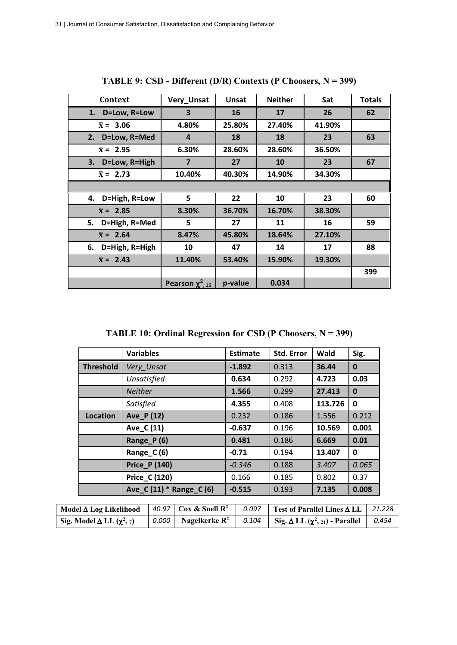| Context              | Very_Unsat            | Unsat   | <b>Neither</b> | Sat    | <b>Totals</b> |
|----------------------|-----------------------|---------|----------------|--------|---------------|
| 1. D=Low, R=Low      | 3                     | 16      | 17             | 26     | 62            |
| $\bar{x} = 3.06$     | 4.80%                 | 25.80%  | 27.40%         | 41.90% |               |
| D=Low, R=Med<br>2.   | 4                     | 18      | 18             | 23     | 63            |
| $\bar{x} = 2.95$     | 6.30%                 | 28.60%  | 28.60%         | 36.50% |               |
| D=Low, R=High<br>3.  | $\overline{7}$        | 27      | 10             | 23     | 67            |
| $\bar{x} = 2.73$     | 10.40%                | 40.30%  | 14.90%         | 34.30% |               |
|                      |                       |         |                |        |               |
| 4. D=High, R=Low     | 5                     | 22      | 10             | 23     | 60            |
| $\bar{x} = 2.85$     | 8.30%                 | 36.70%  | 16.70%         | 38.30% |               |
| D=High, R=Med<br>5.  | 5                     | 27      | 11             | 16     | 59            |
| $\bar{x} = 2.64$     | 8.47%                 | 45.80%  | 18.64%         | 27.10% |               |
| D=High, R=High<br>6. | 10                    | 47      | 14             | 17     | 88            |
| $\bar{x} = 2.43$     | 11.40%                | 53.40%  | 15.90%         | 19.30% |               |
|                      |                       |         |                |        | 399           |
|                      | Pearson $\chi^2$ , 15 | p-value | 0.034          |        |               |

**TABLE 9: CSD - Different (D/R) Contexts (P Choosers, N = 399)**

**TABLE 10: Ordinal Regression for CSD (P Choosers, N = 399)**

|                  | <b>Variables</b>           | <b>Estimate</b> | Std. Error | Wald    | Sig.     |
|------------------|----------------------------|-----------------|------------|---------|----------|
| <b>Threshold</b> | Very_Unsat                 | $-1.892$        | 0.313      | 36.44   | $\bf{0}$ |
|                  | Unsatisfied                | 0.634           | 0.292      | 4.723   | 0.03     |
|                  | <b>Neither</b>             | 1.566           | 0.299      | 27.413  | $\bf{0}$ |
|                  | Satisfied                  | 4.355           | 0.408      | 113.726 | 0        |
| Location         | Ave_P (12)                 | 0.232           | 0.186      | 1.556   | 0.212    |
|                  | Ave_C (11)                 | $-0.637$        | 0.196      | 10.569  | 0.001    |
|                  | Range P(6)                 | 0.481           | 0.186      | 6.669   | 0.01     |
|                  | Range $C(6)$               | $-0.71$         | 0.194      | 13.407  | 0        |
|                  | <b>Price_P (140)</b>       | $-0.346$        | 0.188      | 3.407   | 0.065    |
|                  | Price_C (120)              | 0.166           | 0.185      | 0.802   | 0.37     |
|                  | Ave $C(11)$ * Range $C(6)$ | $-0.515$        | 0.193      | 7.135   | 0.008    |
|                  |                            |                 |            |         |          |

| Model $\triangle$ Log Likelihood   40.97   Cox & Snell R <sup>2</sup> |                                 | 0.097 | $\vert$ Test of Parallel Lines $\Delta$ LL $\vert$ 21.228       |  |
|-----------------------------------------------------------------------|---------------------------------|-------|-----------------------------------------------------------------|--|
| Sig. Model $\Delta$ LL $(\chi^2, \tau)$                               | 0.000 Nagelkerke $\mathbb{R}^2$ | 0.104 | $\int$ Sig. $\Delta$ LL $(\chi^2, z_1)$ - Parallel $\int$ 0.454 |  |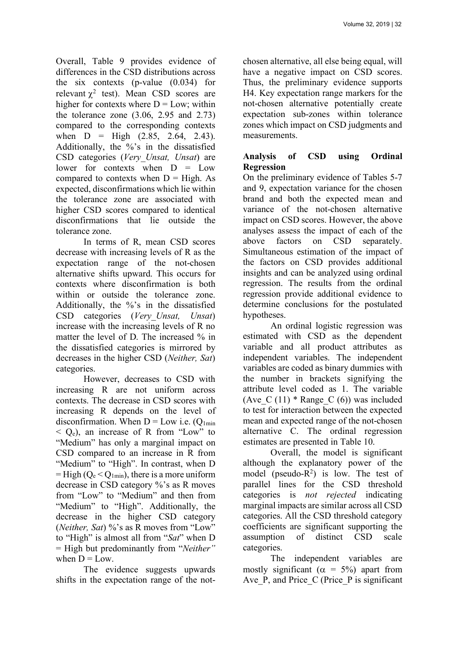Overall, Table 9 provides evidence of differences in the CSD distributions across the six contexts (p-value (0.034) for relevant  $\chi^2$  test). Mean CSD scores are higher for contexts where  $D = Low$ ; within the tolerance zone (3.06, 2.95 and 2.73) compared to the corresponding contexts when  $D = High (2.85, 2.64, 2.43)$ . Additionally, the %'s in the dissatisfied CSD categories (*Very\_Unsat, Unsat*) are lower for contexts when D = Low compared to contexts when  $D = High$ . As expected, disconfirmations which lie within the tolerance zone are associated with higher CSD scores compared to identical disconfirmations that lie outside the tolerance zone.

In terms of R, mean CSD scores decrease with increasing levels of R as the expectation range of the not-chosen alternative shifts upward. This occurs for contexts where disconfirmation is both within or outside the tolerance zone. Additionally, the %'s in the dissatisfied CSD categories (*Very\_Unsat, Unsat*) increase with the increasing levels of R no matter the level of D. The increased % in the dissatisfied categories is mirrored by decreases in the higher CSD (*Neither, Sat*) categories.

However, decreases to CSD with increasing R are not uniform across contexts. The decrease in CSD scores with increasing R depends on the level of disconfirmation. When  $D = Low$  i.e.  $(Q_{1min})$  $\leq$  O<sub>e</sub>), an increase of R from "Low" to "Medium" has only a marginal impact on CSD compared to an increase in R from "Medium" to "High". In contrast, when D  $=$  High ( $Q_e$  <  $Q_{1min}$ ), there is a more uniform decrease in CSD category %'s as R moves from "Low" to "Medium" and then from "Medium" to "High". Additionally, the decrease in the higher CSD category (*Neither, Sat*) %'s as R moves from "Low" to "High" is almost all from "*Sat*" when D = High but predominantly from "*Neither"* when  $D = Low$ 

The evidence suggests upwards shifts in the expectation range of the notchosen alternative, all else being equal, will have a negative impact on CSD scores. Thus, the preliminary evidence supports H4. Key expectation range markers for the not-chosen alternative potentially create expectation sub-zones within tolerance zones which impact on CSD judgments and measurements.

# **Analysis of CSD using Ordinal Regression**

On the preliminary evidence of Tables 5-7 and 9, expectation variance for the chosen brand and both the expected mean and variance of the not-chosen alternative impact on CSD scores. However, the above analyses assess the impact of each of the above factors on CSD separately. Simultaneous estimation of the impact of the factors on CSD provides additional insights and can be analyzed using ordinal regression. The results from the ordinal regression provide additional evidence to determine conclusions for the postulated hypotheses.

An ordinal logistic regression was estimated with CSD as the dependent variable and all product attributes as independent variables. The independent variables are coded as binary dummies with the number in brackets signifying the attribute level coded as 1. The variable (Ave C  $(11)$  \* Range C  $(6)$ ) was included to test for interaction between the expected mean and expected range of the not-chosen alternative C. The ordinal regression estimates are presented in Table 10.

Overall, the model is significant although the explanatory power of the model (pseudo- $R^2$ ) is low. The test of parallel lines for the CSD threshold categories is *not rejected* indicating marginal impacts are similar across all CSD categories. All the CSD threshold category coefficients are significant supporting the assumption of distinct CSD scale categories.

The independent variables are mostly significant ( $\alpha = 5\%$ ) apart from Ave  $P$ , and Price  $C$  (Price  $P$  is significant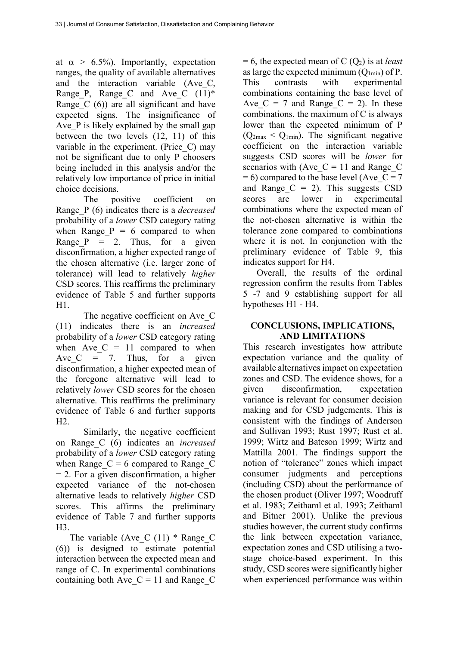at  $\alpha > 6.5\%$ ). Importantly, expectation ranges, the quality of available alternatives and the interaction variable (Ave\_C, Range P, Range C and Ave C  $(11)^*$ Range  $C(6)$  are all significant and have expected signs. The insignificance of Ave P is likely explained by the small gap between the two levels (12, 11) of this variable in the experiment. (Price\_C) may not be significant due to only P choosers being included in this analysis and/or the relatively low importance of price in initial choice decisions.

The positive coefficient on Range\_P (6) indicates there is a *decreased* probability of a *lower* CSD category rating when Range  $P = 6$  compared to when Range  $P = 2$ . Thus, for a given disconfirmation, a higher expected range of the chosen alternative (i.e. larger zone of tolerance) will lead to relatively *higher* CSD scores. This reaffirms the preliminary evidence of Table 5 and further supports H1.

The negative coefficient on Ave C (11) indicates there is an *increased* probability of a *lower* CSD category rating when Ave  $C = 11$  compared to when Ave  $C = 7$ . Thus, for a given disconfirmation, a higher expected mean of the foregone alternative will lead to relatively *lower* CSD scores for the chosen alternative. This reaffirms the preliminary evidence of Table 6 and further supports  $H2$ 

Similarly, the negative coefficient on Range\_C (6) indicates an *increased* probability of a *lower* CSD category rating when Range  $C = 6$  compared to Range C  $= 2$ . For a given disconfirmation, a higher expected variance of the not-chosen alternative leads to relatively *higher* CSD scores. This affirms the preliminary evidence of Table 7 and further supports  $H<sub>3</sub>$ 

The variable (Ave C  $(11)$  \* Range C (6)) is designed to estimate potential interaction between the expected mean and range of C. In experimental combinations containing both Ave  $C = 11$  and Range C

 $= 6$ , the expected mean of C  $(Q_2)$  is at *least* as large the expected minimum  $(Q_{1min})$  of P. This contrasts with experimental combinations containing the base level of Ave  $C = 7$  and Range  $C = 2$ ). In these combinations, the maximum of C is always lower than the expected minimum of P  $(Q<sub>2max</sub> < Q<sub>1min</sub>)$ . The significant negative coefficient on the interaction variable suggests CSD scores will be *lower* for scenarios with (Ave  $C = 11$  and Range C  $= 6$ ) compared to the base level (Ave  $C = 7$ and Range  $C = 2$ ). This suggests CSD scores are lower in experimental combinations where the expected mean of the not-chosen alternative is within the tolerance zone compared to combinations where it is not. In conjunction with the preliminary evidence of Table 9, this indicates support for H4.

Overall, the results of the ordinal regression confirm the results from Tables 5 -7 and 9 establishing support for all hypotheses H1 - H4.

## **CONCLUSIONS, IMPLICATIONS, AND LIMITATIONS**

This research investigates how attribute expectation variance and the quality of available alternatives impact on expectation zones and CSD. The evidence shows, for a given disconfirmation, expectation variance is relevant for consumer decision making and for CSD judgements. This is consistent with the findings of Anderson and Sullivan 1993; Rust 1997; Rust et al. 1999; Wirtz and Bateson 1999; Wirtz and Mattilla 2001. The findings support the notion of "tolerance" zones which impact consumer judgments and perceptions (including CSD) about the performance of the chosen product (Oliver 1997; Woodruff et al. 1983; Zeithaml et al. 1993; Zeithaml and Bitner 2001). Unlike the previous studies however, the current study confirms the link between expectation variance, expectation zones and CSD utilising a twostage choice-based experiment. In this study, CSD scores were significantly higher when experienced performance was within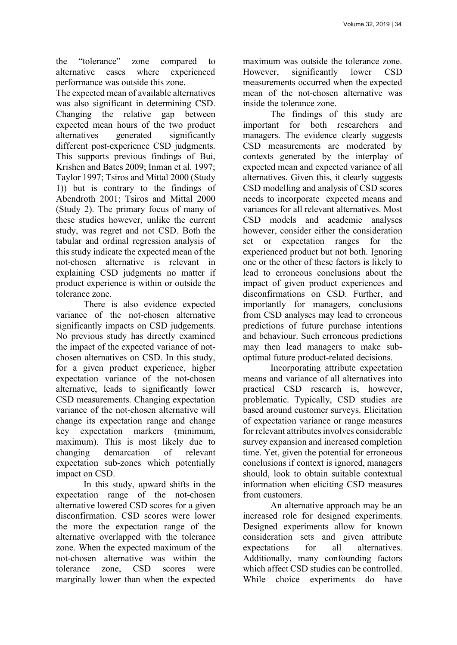the "tolerance" zone compared to alternative cases where experienced performance was outside this zone.

The expected mean of available alternatives was also significant in determining CSD. Changing the relative gap between expected mean hours of the two product alternatives generated significantly different post-experience CSD judgments. This supports previous findings of Bui, Krishen and Bates 2009; Inman et al. 1997; Taylor 1997; Tsiros and Mittal 2000 (Study 1)) but is contrary to the findings of Abendroth 2001; Tsiros and Mittal 2000 (Study 2). The primary focus of many of these studies however, unlike the current study, was regret and not CSD. Both the tabular and ordinal regression analysis of this study indicate the expected mean of the not-chosen alternative is relevant in explaining CSD judgments no matter if product experience is within or outside the tolerance zone.

There is also evidence expected variance of the not-chosen alternative significantly impacts on CSD judgements. No previous study has directly examined the impact of the expected variance of notchosen alternatives on CSD. In this study, for a given product experience, higher expectation variance of the not-chosen alternative, leads to significantly lower CSD measurements. Changing expectation variance of the not-chosen alternative will change its expectation range and change key expectation markers (minimum, maximum). This is most likely due to changing demarcation of relevant expectation sub-zones which potentially impact on CSD.

In this study, upward shifts in the expectation range of the not-chosen alternative lowered CSD scores for a given disconfirmation. CSD scores were lower the more the expectation range of the alternative overlapped with the tolerance zone. When the expected maximum of the not-chosen alternative was within the tolerance zone, CSD scores were marginally lower than when the expected

maximum was outside the tolerance zone. However, significantly lower CSD measurements occurred when the expected mean of the not-chosen alternative was inside the tolerance zone.

The findings of this study are important for both researchers and managers. The evidence clearly suggests CSD measurements are moderated by contexts generated by the interplay of expected mean and expected variance of all alternatives. Given this, it clearly suggests CSD modelling and analysis of CSD scores needs to incorporate expected means and variances for all relevant alternatives. Most CSD models and academic analyses however, consider either the consideration set or expectation ranges for the experienced product but not both. Ignoring one or the other of these factors is likely to lead to erroneous conclusions about the impact of given product experiences and disconfirmations on CSD. Further, and importantly for managers, conclusions from CSD analyses may lead to erroneous predictions of future purchase intentions and behaviour. Such erroneous predictions may then lead managers to make suboptimal future product-related decisions.

Incorporating attribute expectation means and variance of all alternatives into practical CSD research is, however, problematic. Typically, CSD studies are based around customer surveys. Elicitation of expectation variance or range measures for relevant attributes involves considerable survey expansion and increased completion time. Yet, given the potential for erroneous conclusions if context is ignored, managers should, look to obtain suitable contextual information when eliciting CSD measures from customers.

An alternative approach may be an increased role for designed experiments. Designed experiments allow for known consideration sets and given attribute expectations for all alternatives. Additionally, many confounding factors which affect CSD studies can be controlled. While choice experiments do have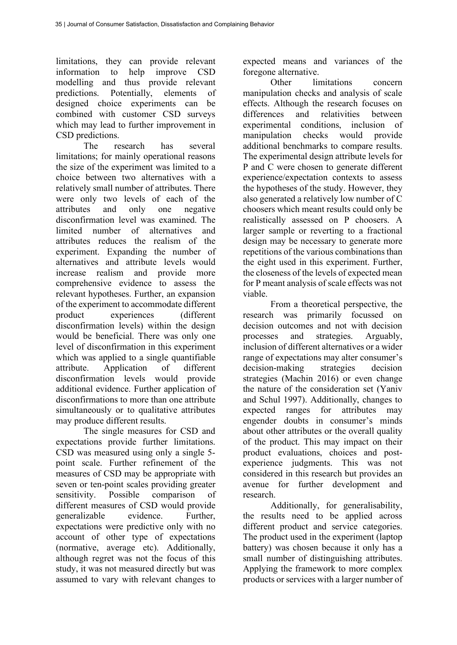limitations, they can provide relevant information to help improve CSD modelling and thus provide relevant predictions. Potentially, elements of designed choice experiments can be combined with customer CSD surveys which may lead to further improvement in CSD predictions.

The research has several limitations; for mainly operational reasons the size of the experiment was limited to a choice between two alternatives with a relatively small number of attributes. There were only two levels of each of the attributes and only one negative disconfirmation level was examined. The limited number of alternatives and attributes reduces the realism of the experiment. Expanding the number of alternatives and attribute levels would increase realism and provide more comprehensive evidence to assess the relevant hypotheses. Further, an expansion of the experiment to accommodate different product experiences (different disconfirmation levels) within the design would be beneficial. There was only one level of disconfirmation in this experiment which was applied to a single quantifiable attribute. Application of different disconfirmation levels would provide additional evidence. Further application of disconfirmations to more than one attribute simultaneously or to qualitative attributes may produce different results.

The single measures for CSD and expectations provide further limitations. CSD was measured using only a single 5 point scale. Further refinement of the measures of CSD may be appropriate with seven or ten-point scales providing greater sensitivity. Possible comparison of different measures of CSD would provide generalizable evidence. Further, expectations were predictive only with no account of other type of expectations (normative, average etc). Additionally, although regret was not the focus of this study, it was not measured directly but was assumed to vary with relevant changes to

expected means and variances of the foregone alternative.

Other limitations concern manipulation checks and analysis of scale effects. Although the research focuses on differences and relativities between experimental conditions inclusion of manipulation checks would provide additional benchmarks to compare results. The experimental design attribute levels for P and C were chosen to generate different experience/expectation contexts to assess the hypotheses of the study. However, they also generated a relatively low number of C choosers which meant results could only be realistically assessed on P choosers. A larger sample or reverting to a fractional design may be necessary to generate more repetitions of the various combinations than the eight used in this experiment. Further, the closeness of the levels of expected mean for P meant analysis of scale effects was not viable.

From a theoretical perspective, the research was primarily focussed on decision outcomes and not with decision processes and strategies. Arguably, inclusion of different alternatives or a wider range of expectations may alter consumer's decision-making strategies decision strategies (Machin 2016) or even change the nature of the consideration set (Yaniv and Schul 1997). Additionally, changes to expected ranges for attributes may engender doubts in consumer's minds about other attributes or the overall quality of the product. This may impact on their product evaluations, choices and postexperience judgments. This was not considered in this research but provides an avenue for further development and research.

Additionally, for generalisability, the results need to be applied across different product and service categories. The product used in the experiment (laptop battery) was chosen because it only has a small number of distinguishing attributes. Applying the framework to more complex products or services with a larger number of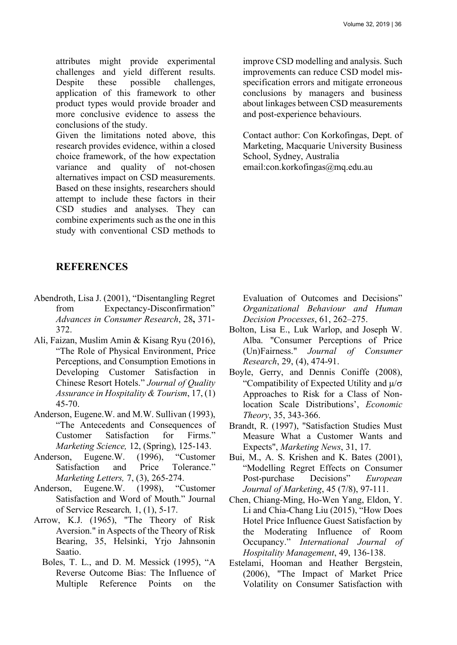attributes might provide experimental challenges and yield different results. Despite these possible challenges, application of this framework to other product types would provide broader and more conclusive evidence to assess the conclusions of the study.

Given the limitations noted above, this research provides evidence, within a closed choice framework, of the how expectation variance and quality of not-chosen alternatives impact on CSD measurements. Based on these insights, researchers should attempt to include these factors in their CSD studies and analyses. They can combine experiments such as the one in this study with conventional CSD methods to

improve CSD modelling and analysis. Such improvements can reduce CSD model misspecification errors and mitigate erroneous conclusions by managers and business about linkages between CSD measurements and post-experience behaviours.

Contact author: Con Korkofingas, Dept. of Marketing, Macquarie University Business School, Sydney, Australia email:con.korkofingas@mq.edu.au

## **REFERENCES**

- Abendroth, Lisa J. (2001), "Disentangling Regret from Expectancy-Disconfirmation" *Advances in Consumer Research*, 28**,** 371- 372.
- Ali, Faizan, Muslim Amin & Kisang Ryu (2016), "The Role of Physical Environment, Price Perceptions, and Consumption Emotions in Developing Customer Satisfaction in Chinese Resort Hotels." *Journal of Quality Assurance in Hospitality & Tourism*, 17, (1) 45-70.
- Anderson, Eugene.W. and M.W. Sullivan (1993), "The Antecedents and Consequences of Customer Satisfaction for Firms." *Marketing Science,* 12, (Spring), 125-143.
- Anderson, Eugene.W. (1996), "Customer Satisfaction and Price Tolerance." *Marketing Letters,* 7, (3), 265-274.
- Anderson, Eugene.W. (1998), "Customer Satisfaction and Word of Mouth." Journal of Service Research*,* 1, (1), 5-17.
- Arrow, K.J. (1965), "The Theory of Risk Aversion." in Aspects of the Theory of Risk Bearing, 35, Helsinki, Yrjo Jahnsonin Saatio.
	- Boles, T. L., and D. M. Messick (1995), "A Reverse Outcome Bias: The Influence of Multiple Reference Points on the

Evaluation of Outcomes and Decisions" *Organizational Behaviour and Human Decision Processes*, 61, 262–275.

- Bolton, Lisa E., Luk Warlop, and Joseph W. Alba. "Consumer Perceptions of Price (Un)Fairness." *Journal of Consumer Research*, 29, (4), 474-91.
- Boyle, Gerry, and Dennis Coniffe (2008), "Compatibility of Expected Utility and  $\mu/\sigma$ Approaches to Risk for a Class of Nonlocation Scale Distributions', *Economic Theory*, 35, 343-366.
- Brandt, R. (1997), "Satisfaction Studies Must Measure What a Customer Wants and Expects", *Marketing News*, 31, 17.
- Bui, M., A. S. Krishen and K. Bates (2001), "Modelling Regret Effects on Consumer Post-purchase Decisions" *European Journal of Marketing*, 45 (7/8), 97-111.
- Chen, Chiang-Ming, Ho-Wen Yang, Eldon, Y. Li and Chia-Chang Liu (2015), "How Does Hotel Price Influence Guest Satisfaction by the Moderating Influence of Room Occupancy." *International Journal of Hospitality Management*, 49, 136-138.
- Estelami, Hooman and Heather Bergstein, (2006), "The Impact of Market Price Volatility on Consumer Satisfaction with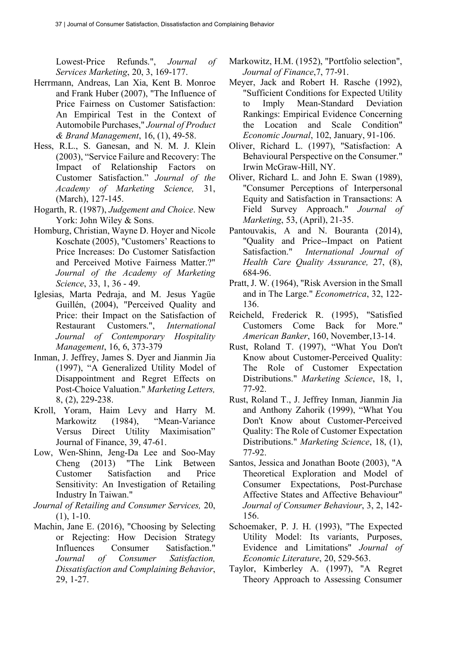Lowest-Price Refunds.", *Journal of Services Marketing*, 20, 3, 169-177.

- Herrmann, Andreas, Lan Xia, Kent B. Monroe and Frank Huber (2007), "The Influence of Price Fairness on Customer Satisfaction: An Empirical Test in the Context of Automobile Purchases," *Journal of Product & Brand Management*, 16, (1), 49-58.
- Hess, R.L., S. Ganesan, and N. M. J. Klein (2003), "Service Failure and Recovery: The Impact of Relationship Factors on Customer Satisfaction." *Journal of the Academy of Marketing Science,* 31, (March), 127-145.
- Hogarth, R. (1987), *Judgement and Choice*. New York: John Wiley & Sons.
- Homburg, Christian, Wayne D. Hoyer and Nicole Koschate (2005), "Customers' Reactions to Price Increases: Do Customer Satisfaction and Perceived Motive Fairness Matter?" *Journal of the Academy of Marketing Science*, 33, 1, 36 - 49.
- Iglesias, Marta Pedraja, and M. Jesus Yagüe Guillén, (2004), "Perceived Quality and Price: their Impact on the Satisfaction of Restaurant Customers.", *International Journal of Contemporary Hospitality Management*, 16, 6, 373-379
- Inman, J. Jeffrey, James S. Dyer and Jianmin Jia (1997), "A Generalized Utility Model of Disappointment and Regret Effects on Post-Choice Valuation." *Marketing Letters,* 8, (2), 229-238.
- Kroll, Yoram, Haim Levy and Harry M. Markowitz (1984), "Mean-Variance Versus Direct Utility Maximisation" Journal of Finance, 39, 47-61.
- Low, Wen-Shinn, Jeng-Da Lee and Soo-May Cheng (2013) "The Link Between Customer Satisfaction and Price Sensitivity: An Investigation of Retailing Industry In Taiwan."
- *Journal of Retailing and Consumer Services,* 20,  $(1), 1-10.$
- Machin, Jane E. (2016), "Choosing by Selecting or Rejecting: How Decision Strategy Influences Consumer Satisfaction." *Journal of Consumer Satisfaction, Dissatisfaction and Complaining Behavior*, 29, 1-27.
- Markowitz, H.M. (1952), "Portfolio selection", *Journal of Finance*,7, 77-91.
- Meyer, Jack and Robert H. Rasche (1992), "Sufficient Conditions for Expected Utility to Imply Mean-Standard Deviation Rankings: Empirical Evidence Concerning the Location and Scale Condition" *Economic Journal*, 102, January, 91-106.
- Oliver, Richard L. (1997), "Satisfaction: A Behavioural Perspective on the Consumer." Irwin McGraw-Hill, NY.
- Oliver, Richard L. and John E. Swan (1989), "Consumer Perceptions of Interpersonal Equity and Satisfaction in Transactions: A Field Survey Approach." *Journal of Marketing*, 53, (April), 21-35.
- Pantouvakis, A and N. Bouranta (2014), "Quality and Price--Impact on Patient Satisfaction." *International Journal of Health Care Quality Assurance,* 27, (8), 684-96.
- Pratt, J. W. (1964), "Risk Aversion in the Small and in The Large." *Econometrica*, 32, 122- 136.
- Reicheld, Frederick R. (1995), "Satisfied Customers Come Back for More." *American Banker*, 160, November,13-14.
- Rust, Roland T. (1997), "What You Don't Know about Customer-Perceived Quality: The Role of Customer Expectation Distributions." *Marketing Science*, 18, 1, 77-92.
- Rust, Roland T., J. Jeffrey Inman, Jianmin Jia and Anthony Zahorik (1999), "What You Don't Know about Customer-Perceived Quality: The Role of Customer Expectation Distributions." *Marketing Science*, 18, (1), 77-92.
- Santos, Jessica and Jonathan Boote (2003), "A Theoretical Exploration and Model of Consumer Expectations, Post-Purchase Affective States and Affective Behaviour" *Journal of Consumer Behaviour*, 3, 2, 142- 156.
- Schoemaker, P. J. H. (1993), "The Expected Utility Model: Its variants, Purposes, Evidence and Limitations" *Journal of Economic Literature*, 20, 529-563.
- Taylor, Kimberley A. (1997), "A Regret Theory Approach to Assessing Consumer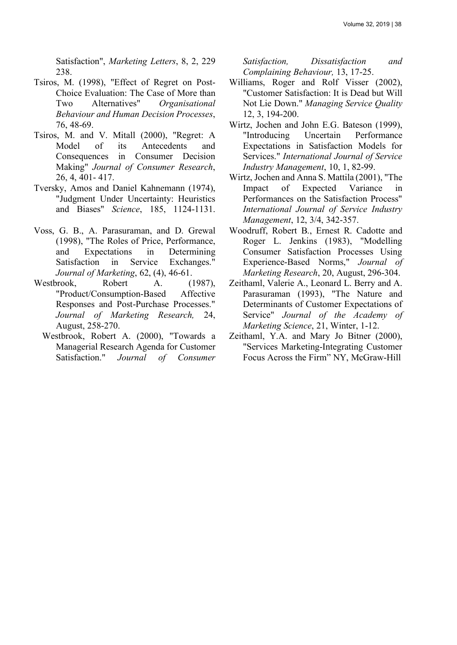Satisfaction", *Marketing Letters*, 8, 2, 229 238.

- Tsiros, M. (1998), "Effect of Regret on Post-Choice Evaluation: The Case of More than Two Alternatives" *Organisational Behaviour and Human Decision Processes*, 76, 48-69.
- Tsiros, M. and V. Mitall (2000), "Regret: A Model of its Antecedents and Consequences in Consumer Decision Making" *Journal of Consumer Research*, 26, 4, 401- 417.
- Tversky, Amos and Daniel Kahnemann (1974), "Judgment Under Uncertainty: Heuristics and Biases" *Science*, 185, 1124-1131.
- Voss, G. B., A. Parasuraman, and D. Grewal (1998), "The Roles of Price, Performance, and Expectations in Determining Satisfaction in Service Exchanges." *Journal of Marketing*, 62, (4), 46-61.
- Westbrook, Robert A. (1987), "Product/Consumption-Based Affective Responses and Post-Purchase Processes." *Journal of Marketing Research,* 24, August, 258-270.
	- Westbrook, Robert A. (2000), "Towards a Managerial Research Agenda for Customer Satisfaction." *Journal of Consumer*

*Satisfaction, Dissatisfaction and Complaining Behaviour,* 13, 17-25.

- Williams, Roger and Rolf Visser (2002), "Customer Satisfaction: It is Dead but Will Not Lie Down." *Managing Service Quality* 12, 3, 194-200.
- Wirtz, Jochen and John E.G. Bateson (1999), "Introducing Uncertain Performance Expectations in Satisfaction Models for Services." *International Journal of Service Industry Management*, 10, 1, 82-99.
- Wirtz, Jochen and Anna S. Mattila (2001), "The Impact of Expected Variance in Performances on the Satisfaction Process" *International Journal of Service Industry Management*, 12, 3/4, 342-357.
- Woodruff, Robert B., Ernest R. Cadotte and Roger L. Jenkins (1983), "Modelling Consumer Satisfaction Processes Using Experience-Based Norms," *Journal of Marketing Research*, 20, August, 296-304.
- Zeithaml, Valerie A., Leonard L. Berry and A. Parasuraman (1993), "The Nature and Determinants of Customer Expectations of Service" *Journal of the Academy of Marketing Science*, 21, Winter, 1-12.
- Zeithaml, Y.A. and Mary Jo Bitner (2000), "Services Marketing-Integrating Customer Focus Across the Firm" NY, McGraw-Hill